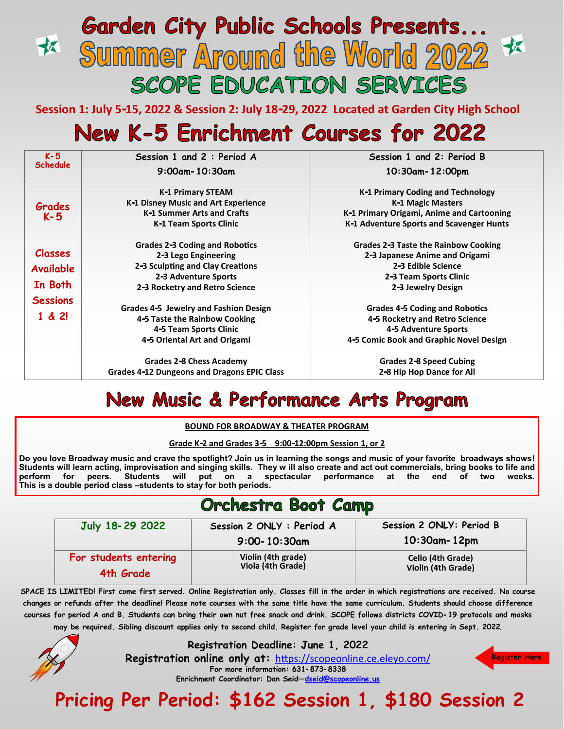## **Garden City Public Schools Presents...** 衣 Summer Around the World 2022 SCOPE EDUCATION SERVICES

**Session 1: July 5-15, 2022 & Session 2: July 18-29, 2022 Located at Garden City High School**

# New K-5 Enrichment Courses for 2022

| $K - 5$          | Session 1 and 2 : Period A                         | Session 1 and 2: Period B                 |
|------------------|----------------------------------------------------|-------------------------------------------|
| <b>Schedule</b>  | $9:00$ am – 10:30am                                | $10:30$ am - 12:00pm                      |
|                  | K-1 Primary STEAM                                  | K-1 Primary Coding and Technology         |
| Grades           | K-1 Disney Music and Art Experience                | K-1 Magic Masters                         |
| $K - 5$          | K-1 Summer Arts and Crafts                         | K-1 Primary Origami, Anime and Cartooning |
|                  | K-1 Team Sports Clinic                             | K-1 Adventure Sports and Scavenger Hunts  |
|                  | <b>Grades 2-3 Coding and Robotics</b>              | Grades 2-3 Taste the Rainbow Cooking      |
| <b>Classes</b>   | 2-3 Lego Engineering                               | 2-3 Japanese Anime and Origami            |
| <b>Available</b> | 2-3 Sculpting and Clay Creations                   | 2-3 Edible Science                        |
|                  | 2-3 Adventure Sports                               | 2-3 Team Sports Clinic                    |
| In Both          | 2-3 Rocketry and Retro Science                     | 2-3 Jewelry Design                        |
| <b>Sessions</b>  |                                                    |                                           |
|                  | Grades 4-5 Jewelry and Fashion Design              | <b>Grades 4-5 Coding and Robotics</b>     |
| 1 & 2!           | 4-5 Taste the Rainbow Cooking                      | 4-5 Rocketry and Retro Science            |
|                  | 4-5 Team Sports Clinic                             | 4-5 Adventure Sports                      |
|                  | 4-5 Oriental Art and Origami                       | 4-5 Comic Book and Graphic Novel Design   |
|                  | Grades 2-8 Chess Academy                           | Grades 2-8 Speed Cubing                   |
|                  | <b>Grades 4-12 Dungeons and Dragons EPIC Class</b> | 2-8 Hip Hop Dance for All                 |

## **New Music & Performance Arts Program**

**BOUND FOR BROADWAY & THEATER PROGRAM**

**Grade K-2 and Grades 3-5 9:00-12:00pm Session 1, or 2** 

**Do you love Broadway music and crave the spotlight? Join us in learning the songs and music of your favorite broadways shows! Students will learn acting, improvisation and singing skills. They w ill also create and act out commercials, bring books to life and perform for peers. Students will put on a spectacular performance at the end of two weeks. This is a double period class –students to stay for both periods.** 

## Orchestra Boot Camp

| July 18-29 2022       | Session 2 ONLY : Period A               | Session 2 ONLY: Period B |
|-----------------------|-----------------------------------------|--------------------------|
|                       | $9:00 - 10:30$ am                       | $10:30$ am - 12pm        |
| For students entering | Violin (4th grade)<br>Viola (4th Grade) | Cello (4th Grade)        |
| 4th Grade             |                                         | Violin (4th Grade)       |

**SPACE IS LIMITED! First come first served. Online Registration only. Classes fill in the order in which registrations are received. No course changes or refunds after the deadline! Please note courses with the same title have the same curriculum. Students should choose difference courses for period A and B. Students can bring their own nut free snack and drink. SCOPE follows districts COVID-19 protocols and masks may be required. Sibling discount applies only to second child. Register for grade level your child is entering in Sept. 2022.** 



**Registration Deadline: June 1, 2022**

**Registration online only at:** [https://scopeonline.ce.eleyo.com/](https://scopeonline.ce.eleyo.com/courses/category/95/enrichment%E2%80%941)

**For more information: 631-873-8338**



**Enrichment Coordinator: Dan Seid—[dseid@scopeonline.us](mailto:dseid@scopeonline.us)**

**Pricing Per Period: \$162 Session 1, \$180 Session 2**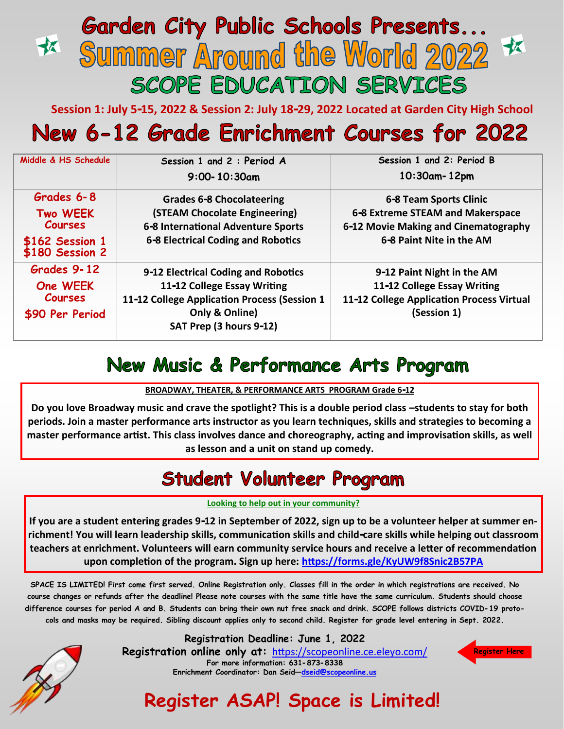## **Garden City Public Schools Presents...** 衣 **Summer Around the World 2022** SCOPE EDUCATION SERVICES

**Session 1: July 5-15, 2022 & Session 2: July 18-29, 2022 Located at Garden City High School**

# New 6-12 Grade Enrichment Courses for 2022

| Middle & HS Schedule               | Session 1 and 2 : Period A                   | Session 1 and 2: Period B                 |
|------------------------------------|----------------------------------------------|-------------------------------------------|
|                                    | $9:00 - 10:30$ am                            | $10:30$ am - 12pm                         |
| Grades 6-8                         | <b>Grades 6-8 Chocolateering</b>             | 6-8 Team Sports Clinic                    |
| <b>Two WEEK</b>                    | (STEAM Chocolate Engineering)                | 6-8 Extreme STEAM and Makerspace          |
| <b>Courses</b>                     | 6-8 International Adventure Sports           | 6-12 Movie Making and Cinematography      |
| \$162 Session 1<br>\$180 Session 2 | 6-8 Electrical Coding and Robotics           | 6-8 Paint Nite in the AM                  |
| Grades 9-12                        | 9-12 Electrical Coding and Robotics          | 9-12 Paint Night in the AM                |
| One WEEK                           | 11-12 College Essay Writing                  | 11-12 College Essay Writing               |
| <b>Courses</b>                     | 11-12 College Application Process (Session 1 | 11-12 College Application Process Virtual |
| \$90 Per Period                    | Only & Online)                               | (Session 1)                               |
|                                    | SAT Prep (3 hours 9-12)                      |                                           |

# New Music & Performance Arts Program

## **BROADWAY, THEATER, & PERFORMANCE ARTS PROGRAM Grade 6-12**

**Do you love Broadway music and crave the spotlight? This is a double period class –students to stay for both periods. Join a master performance arts instructor as you learn techniques, skills and strategies to becoming a master performance artist. This class involves dance and choreography, acting and improvisation skills, as well as lesson and a unit on stand up comedy.** 

## **Student Volunteer Program**

## **Looking to help out in your community?**

**If you are a student entering grades 9-12 in September of 2022, sign up to be a volunteer helper at summer enrichment! You will learn leadership skills, communication skills and child-care skills while helping out classroom teachers at enrichment. Volunteers will earn community service hours and receive a letter of recommendation upon completion of the program. Sign up here: <https://forms.gle/KyUW9f8Snic2B57PA>**

**SPACE IS LIMITED! First come first served. Online Registration only. Classes fill in the order in which registrations are received. No course changes or refunds after the deadline! Please note courses with the same title have the same curriculum. Students should choose difference courses for period A and B. Students can bring their own nut free snack and drink. SCOPE follows districts COVID-19 protocols and masks may be required. Sibling discount applies only to second child. Register for grade level entering in Sept. 2022.** 



**Registration Deadline: June 1, 2022**

**Registration online only at:** [https://scopeonline.ce.eleyo.com/](https://scopeonline.ce.eleyo.com/courses/category/95/enrichment%E2%80%941) **For more information: 631-873-8338 Enrichment Coordinator: Dan Seid[—dseid@scopeonline.us](mailto:dseid@scopeonline.us)**



**Register ASAP! Space is Limited!**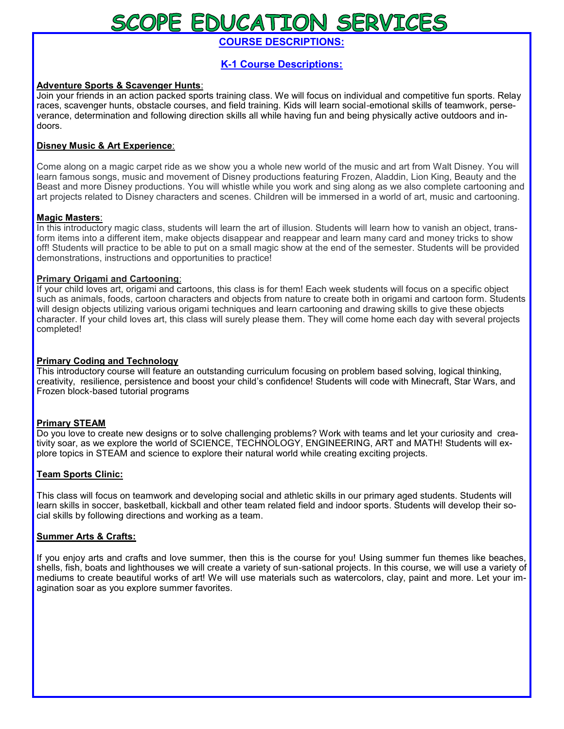# SCOPE EDUCATION SERVICES

**COURSE DESCRIPTIONS:**

## **K-1 Course Descriptions:**

## **Adventure Sports & Scavenger Hunts**:

Join your friends in an action packed sports training class. We will focus on individual and competitive fun sports. Relay races, scavenger hunts, obstacle courses, and field training. Kids will learn social-emotional skills of teamwork, perseverance, determination and following direction skills all while having fun and being physically active outdoors and indoors.

## **Disney Music & Art Experience**:

Come along on a magic carpet ride as we show you a whole new world of the music and art from Walt Disney. You will learn famous songs, music and movement of Disney productions featuring Frozen, Aladdin, Lion King, Beauty and the Beast and more Disney productions. You will whistle while you work and sing along as we also complete cartooning and art projects related to Disney characters and scenes. Children will be immersed in a world of art, music and cartooning.

## **Magic Masters**:

In this introductory magic class, students will learn the art of illusion. Students will learn how to vanish an object, transform items into a different item, make objects disappear and reappear and learn many card and money tricks to show off! Students will practice to be able to put on a small magic show at the end of the semester. Students will be provided demonstrations, instructions and opportunities to practice!

## **Primary Origami and Cartooning**:

If your child loves art, origami and cartoons, this class is for them! Each week students will focus on a specific object such as animals, foods, cartoon characters and objects from nature to create both in origami and cartoon form. Students will design objects utilizing various origami techniques and learn cartooning and drawing skills to give these objects character. If your child loves art, this class will surely please them. They will come home each day with several projects completed!

## **Primary Coding and Technology**

This introductory course will feature an outstanding curriculum focusing on problem based solving, logical thinking, creativity, resilience, persistence and boost your child's confidence! Students will code with Minecraft, Star Wars, and Frozen block-based tutorial programs

## **Primary STEAM**

Do you love to create new designs or to solve challenging problems? Work with teams and let your curiosity and creativity soar, as we explore the world of SCIENCE, TECHNOLOGY, ENGINEERING, ART and MATH! Students will explore topics in STEAM and science to explore their natural world while creating exciting projects.

## **Team Sports Clinic:**

This class will focus on teamwork and developing social and athletic skills in our primary aged students. Students will learn skills in soccer, basketball, kickball and other team related field and indoor sports. Students will develop their social skills by following directions and working as a team.

## **Summer Arts & Crafts:**

If you enjoy arts and crafts and love summer, then this is the course for you! Using summer fun themes like beaches, shells, fish, boats and lighthouses we will create a variety of sun-sational projects. In this course, we will use a variety of mediums to create beautiful works of art! We will use materials such as watercolors, clay, paint and more. Let your imagination soar as you explore summer favorites.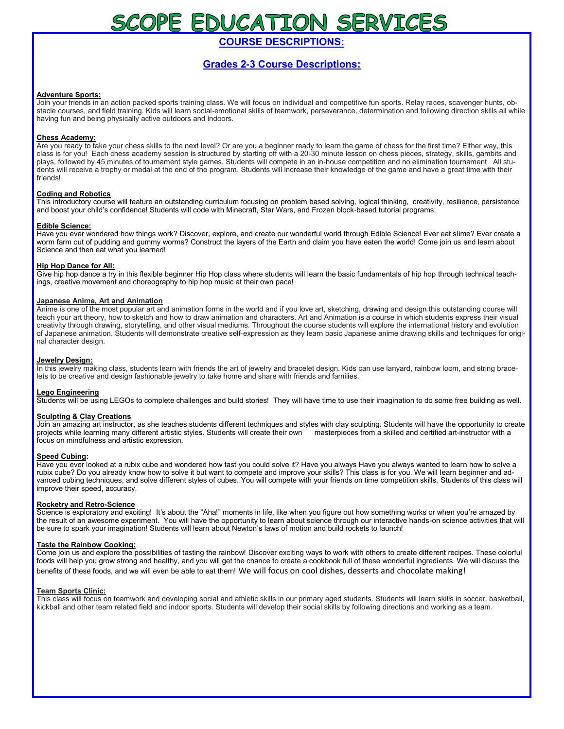# SCOPE EDUCATION SERVICES

**COURSE DESCRIPTIONS:**

## **Grades 2-3 Course Descriptions:**

#### **Adventure Sports:**

Join your friends in an action packed sports training class. We will focus on individual and competitive fun sports. Relay races, scavenger hunts, obstacle courses, and field training. Kids will learn social-emotional skills of teamwork, perseverance, determination and following direction skills all while having fun and being physically active outdoors and indoors.

#### **Chess Academy:**

Are you ready to take your chess skills to the next level? Or are you a beginner ready to learn the game of chess for the first time? Either way, this class is for you! Each chess academy session is structured by starting off with a 20-30 minute lesson on chess pieces, strategy, skills, gambits and plays, followed by 45 minutes of tournament style games. Students will compete in an in-house competition and no elimination tournament. All students will receive a trophy or medal at the end of the program. Students will increase their knowledge of the game and have a great time with their friends!

#### **Coding and Robotics**

This introductory course will feature an outstanding curriculum focusing on problem based solving, logical thinking, creativity, resilience, persistence and boost your child's confidence! Students will code with Minecraft, Star Wars, and Frozen block-based tutorial programs.

#### **Edible Science:**

Have you ever wondered how things work? Discover, explore, and create our wonderful world through Edible Science! Ever eat slime? Ever create a worm farm out of pudding and gummy worms? Construct the layers of the Earth and claim you have eaten the world! Come join us and learn about Science and then eat what you learned!

#### **Hip Hop Dance for All:**

Give hip hop dance a try in this flexible beginner Hip Hop class where students will learn the basic fundamentals of hip hop through technical teachings, creative movement and choreography to hip hop music at their own pace!

#### **Japanese Anime, Art and Animation**

Anime is one of the most popular art and animation forms in the world and if you love art, sketching, drawing and design this outstanding course will teach your art theory, how to sketch and how to draw animation and characters. Art and Animation is a course in which students express their visual creativity through drawing, storytelling, and other visual mediums. Throughout the course students will explore the international history and evolution of Japanese animation. Students will demonstrate creative self-expression as they learn basic Japanese anime drawing skills and techniques for original character design.

#### **Jewelry Design:**

In this jewelry making class, students learn with friends the art of jewelry and bracelet design. Kids can use lanyard, rainbow loom, and string bracelets to be creative and design fashionable jewelry to take home and share with friends and families.

#### **Lego Engineering**

Students will be using LEGOs to complete challenges and build stories! They will have time to use their imagination to do some free building as well.

#### **Sculpting & Clay Creations**

Join an amazing art instructor, as she teaches students different techniques and styles with clay sculpting. Students will have the opportunity to create projects while learning many different artistic styles. Students will create their own masterpieces from a skilled and certified art-instructor with a focus on mindfulness and artistic expression.

#### **Speed Cubing:**

Have you ever looked at a rubix cube and wondered how fast you could solve it? Have you always Have you always wanted to learn how to solve a rubix cube? Do you already know how to solve it but want to compete and improve your skills? This class is for you. We will learn beginner and advanced cubing techniques, and solve different styles of cubes. You will compete with your friends on time competition skills. Students of this class will improve their speed, accuracy.

#### **Rocketry and Retro-Science**

Science is exploratory and exciting! It's about the "Aha!" moments in life, like when you figure out how something works or when you're amazed by the result of an awesome experiment. You will have the opportunity to learn about science through our interactive hands-on science activities that will be sure to spark your imagination! Students will learn about Newton's laws of motion and build rockets to launch!

#### **Taste the Rainbow Cooking:**

Come join us and explore the possibilities of tasting the rainbow! Discover exciting ways to work with others to create different recipes. These colorful foods will help you grow strong and healthy, and you will get the chance to create a cookbook full of these wonderful ingredients. We will discuss the benefits of these foods, and we will even be able to eat them! We will focus on cool dishes, desserts and chocolate making!

#### **Team Sports Clinic:**

This class will focus on teamwork and developing social and athletic skills in our primary aged students. Students will learn skills in soccer, basketball, kickball and other team related field and indoor sports. Students will develop their social skills by following directions and working as a team.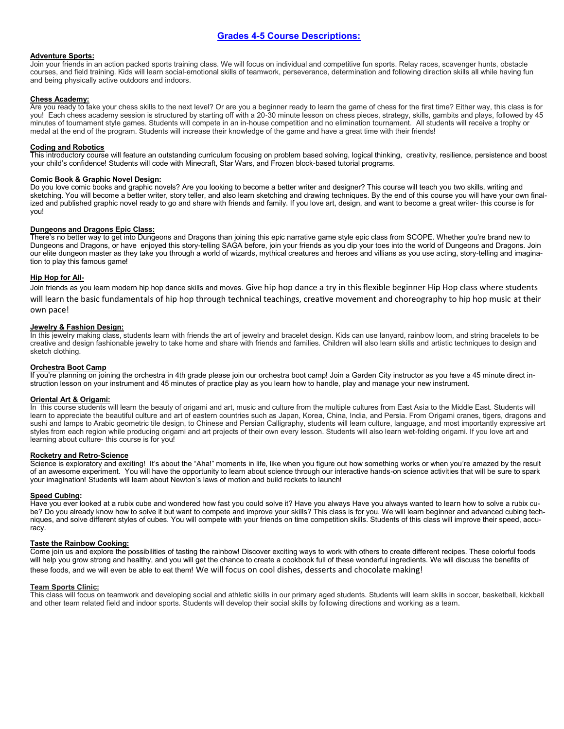#### **Adventure Sports:**

Join your friends in an action packed sports training class. We will focus on individual and competitive fun sports. Relay races, scavenger hunts, obstacle courses, and field training. Kids will learn social-emotional skills of teamwork, perseverance, determination and following direction skills all while having fun and being physically active outdoors and indoors.

#### **Chess Academy:**

Are you ready to take your chess skills to the next level? Or are you a beginner ready to learn the game of chess for the first time? Either way, this class is for you! Each chess academy session is structured by starting off with a 20-30 minute lesson on chess pieces, strategy, skills, gambits and plays, followed by 45 minutes of tournament style games. Students will compete in an in-house competition and no elimination tournament. All students will receive a trophy or medal at the end of the program. Students will increase their knowledge of the game and have a great time with their friends!

#### **Coding and Robotics**

This introductory course will feature an outstanding curriculum focusing on problem based solving, logical thinking, creativity, resilience, persistence and boost your child's confidence! Students will code with Minecraft, Star Wars, and Frozen block-based tutorial programs.

#### **Comic Book & Graphic Novel Design:**

Do you love comic books and graphic novels? Are you looking to become a better writer and designer? This course will teach you two skills, writing and sketching. You will become a better writer, story teller, and also learn sketching and drawing techniques. By the end of this course you will have your own finalized and published graphic novel ready to go and share with friends and family. If you love art, design, and want to become a great writer- this course is for you!

#### **Dungeons and Dragons Epic Class:**

There's no better way to get into Dungeons and Dragons than joining this epic narrative game style epic class from SCOPE. Whether you're brand new to Dungeons and Dragons, or have enjoyed this story-telling SAGA before, join your friends as you dip your toes into the world of Dungeons and Dragons. Join our elite dungeon master as they take you through a world of wizards, mythical creatures and heroes and villians as you use acting, story-telling and imagination to play this famous game!

#### **Hip Hop for All-**

Join friends as you learn modern hip hop dance skills and moves. Give hip hop dance a try in this flexible beginner Hip Hop class where students will learn the basic fundamentals of hip hop through technical teachings, creative movement and choreography to hip hop music at their own pace!

#### **Jewelry & Fashion Design:**

In this jewelry making class, students learn with friends the art of jewelry and bracelet design. Kids can use lanyard, rainbow loom, and string bracelets to be creative and design fashionable jewelry to take home and share with friends and families. Children will also learn skills and artistic techniques to design and sketch clothing.

#### **Orchestra Boot Camp**

If you're planning on joining the orchestra in 4th grade please join our orchestra boot camp! Join a Garden City instructor as you have a 45 minute direct instruction lesson on your instrument and 45 minutes of practice play as you learn how to handle, play and manage your new instrument.

#### **Oriental Art & Origami:**

In this course students will learn the beauty of origami and art, music and culture from the multiple cultures from East Asia to the Middle East. Students will learn to appreciate the beautiful culture and art of eastern countries such as Japan, Korea, China, India, and Persia. From Origami cranes, tigers, dragons and sushi and lamps to Arabic geometric tile design, to Chinese and Persian Calligraphy, students will learn culture, language, and most importantly expressive art styles from each region while producing origami and art projects of their own every lesson. Students will also learn wet-folding origami. If you love art and learning about culture- this course is for you!

#### **Rocketry and Retro-Science**

Science is exploratory and exciting! It's about the "Aha!" moments in life, like when you figure out how something works or when you're amazed by the result of an awesome experiment. You will have the opportunity to learn about science through our interactive hands-on science activities that will be sure to spark your imagination! Students will learn about Newton's laws of motion and build rockets to launch!

#### **Speed Cubing:**

Have you ever looked at a rubix cube and wondered how fast you could solve it? Have you always Have you always wanted to learn how to solve a rubix cube? Do you already know how to solve it but want to compete and improve your skills? This class is for you. We will learn beginner and advanced cubing techniques, and solve different styles of cubes. You will compete with your friends on time competition skills. Students of this class will improve their speed, accuracy.

#### **Taste the Rainbow Cooking:**

Come join us and explore the possibilities of tasting the rainbow! Discover exciting ways to work with others to create different recipes. These colorful foods will help you grow strong and healthy, and you will get the chance to create a cookbook full of these wonderful ingredients. We will discuss the benefits of these foods, and we will even be able to eat them! We will focus on cool dishes, desserts and chocolate making!

#### **Team Sports Clinic:**

This class will focus on teamwork and developing social and athletic skills in our primary aged students. Students will learn skills in soccer, basketball, kickball and other team related field and indoor sports. Students will develop their social skills by following directions and working as a team.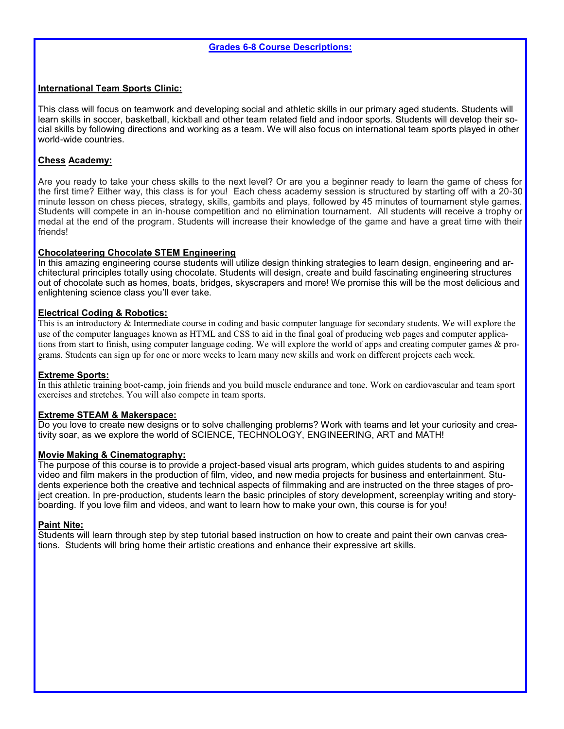## **International Team Sports Clinic:**

This class will focus on teamwork and developing social and athletic skills in our primary aged students. Students will learn skills in soccer, basketball, kickball and other team related field and indoor sports. Students will develop their social skills by following directions and working as a team. We will also focus on international team sports played in other world-wide countries.

## **Chess Academy:**

Are you ready to take your chess skills to the next level? Or are you a beginner ready to learn the game of chess for the first time? Either way, this class is for you! Each chess academy session is structured by starting off with a 20-30 minute lesson on chess pieces, strategy, skills, gambits and plays, followed by 45 minutes of tournament style games. Students will compete in an in-house competition and no elimination tournament. All students will receive a trophy or medal at the end of the program. Students will increase their knowledge of the game and have a great time with their friends!

## **Chocolateering Chocolate STEM Engineering**

In this amazing engineering course students will utilize design thinking strategies to learn design, engineering and architectural principles totally using chocolate. Students will design, create and build fascinating engineering structures out of chocolate such as homes, boats, bridges, skyscrapers and more! We promise this will be the most delicious and enlightening science class you'll ever take.

### **Electrical Coding & Robotics:**

This is an introductory & Intermediate course in coding and basic computer language for secondary students. We will explore the use of the computer languages known as HTML and CSS to aid in the final goal of producing web pages and computer applications from start to finish, using computer language coding. We will explore the world of apps and creating computer games & programs. Students can sign up for one or more weeks to learn many new skills and work on different projects each week.

### **Extreme Sports:**

In this athletic training boot-camp, join friends and you build muscle endurance and tone. Work on cardiovascular and team sport exercises and stretches. You will also compete in team sports.

### **Extreme STEAM & Makerspace:**

Do you love to create new designs or to solve challenging problems? Work with teams and let your curiosity and creativity soar, as we explore the world of SCIENCE, TECHNOLOGY, ENGINEERING, ART and MATH!

### **Movie Making & Cinematography:**

The purpose of this course is to provide a project-based visual arts program, which guides students to and aspiring video and film makers in the production of film, video, and new media projects for business and entertainment. Students experience both the creative and technical aspects of filmmaking and are instructed on the three stages of project creation. In pre-production, students learn the basic principles of story development, screenplay writing and storyboarding. If you love film and videos, and want to learn how to make your own, this course is for you!

### **Paint Nite:**

Students will learn through step by step tutorial based instruction on how to create and paint their own canvas creations. Students will bring home their artistic creations and enhance their expressive art skills.